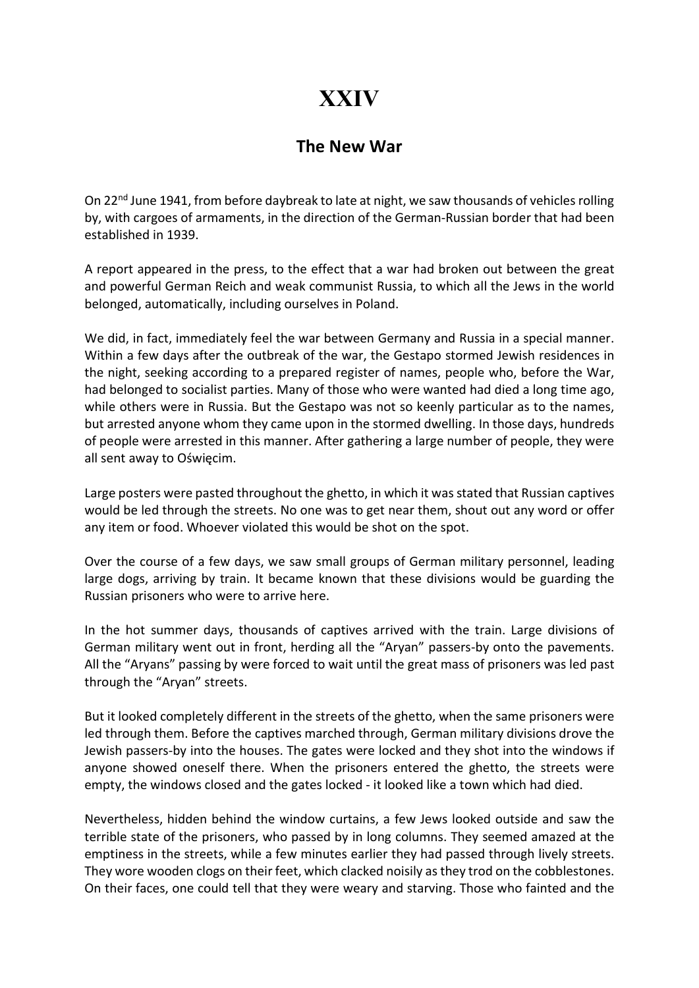## XXIV

## The New War

On 22nd June 1941, from before daybreak to late at night, we saw thousands of vehicles rolling by, with cargoes of armaments, in the direction of the German-Russian border that had been established in 1939.

A report appeared in the press, to the effect that a war had broken out between the great and powerful German Reich and weak communist Russia, to which all the Jews in the world belonged, automatically, including ourselves in Poland.

We did, in fact, immediately feel the war between Germany and Russia in a special manner. Within a few days after the outbreak of the war, the Gestapo stormed Jewish residences in the night, seeking according to a prepared register of names, people who, before the War, had belonged to socialist parties. Many of those who were wanted had died a long time ago, while others were in Russia. But the Gestapo was not so keenly particular as to the names, but arrested anyone whom they came upon in the stormed dwelling. In those days, hundreds of people were arrested in this manner. After gathering a large number of people, they were all sent away to Oświęcim.

Large posters were pasted throughout the ghetto, in which it was stated that Russian captives would be led through the streets. No one was to get near them, shout out any word or offer any item or food. Whoever violated this would be shot on the spot.

Over the course of a few days, we saw small groups of German military personnel, leading large dogs, arriving by train. It became known that these divisions would be guarding the Russian prisoners who were to arrive here.

In the hot summer days, thousands of captives arrived with the train. Large divisions of German military went out in front, herding all the "Aryan" passers-by onto the pavements. All the "Aryans" passing by were forced to wait until the great mass of prisoners was led past through the "Aryan" streets.

But it looked completely different in the streets of the ghetto, when the same prisoners were led through them. Before the captives marched through, German military divisions drove the Jewish passers-by into the houses. The gates were locked and they shot into the windows if anyone showed oneself there. When the prisoners entered the ghetto, the streets were empty, the windows closed and the gates locked - it looked like a town which had died.

Nevertheless, hidden behind the window curtains, a few Jews looked outside and saw the terrible state of the prisoners, who passed by in long columns. They seemed amazed at the emptiness in the streets, while a few minutes earlier they had passed through lively streets. They wore wooden clogs on their feet, which clacked noisily as they trod on the cobblestones. On their faces, one could tell that they were weary and starving. Those who fainted and the